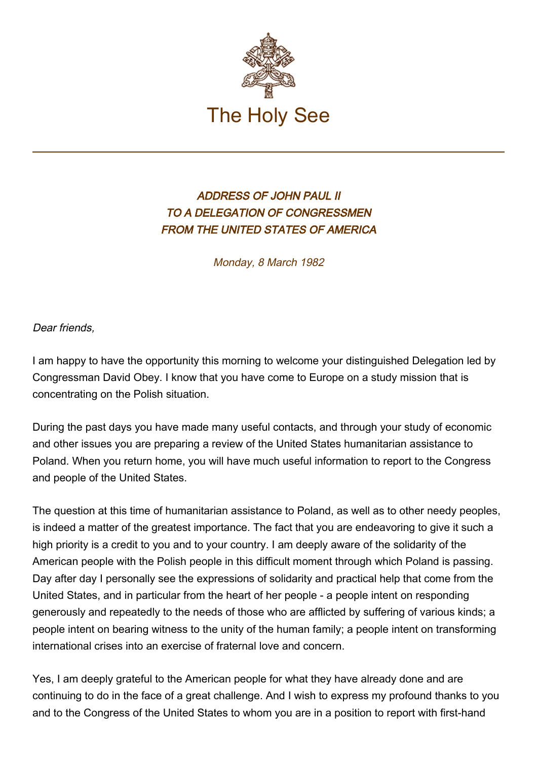

## ADDRESS OF JOHN PAUL II TO A DELEGATION OF CONGRESSMEN FROM THE UNITED STATES OF AMERICA

Monday, 8 March 1982

Dear friends,

I am happy to have the opportunity this morning to welcome your distinguished Delegation led by Congressman David Obey. I know that you have come to Europe on a study mission that is concentrating on the Polish situation.

During the past days you have made many useful contacts, and through your study of economic and other issues you are preparing a review of the United States humanitarian assistance to Poland. When you return home, you will have much useful information to report to the Congress and people of the United States.

The question at this time of humanitarian assistance to Poland, as well as to other needy peoples, is indeed a matter of the greatest importance. The fact that you are endeavoring to give it such a high priority is a credit to you and to your country. I am deeply aware of the solidarity of the American people with the Polish people in this difficult moment through which Poland is passing. Day after day I personally see the expressions of solidarity and practical help that come from the United States, and in particular from the heart of her people - a people intent on responding generously and repeatedly to the needs of those who are afflicted by suffering of various kinds; a people intent on bearing witness to the unity of the human family; a people intent on transforming international crises into an exercise of fraternal love and concern.

Yes, I am deeply grateful to the American people for what they have already done and are continuing to do in the face of a great challenge. And I wish to express my profound thanks to you and to the Congress of the United States to whom you are in a position to report with first-hand